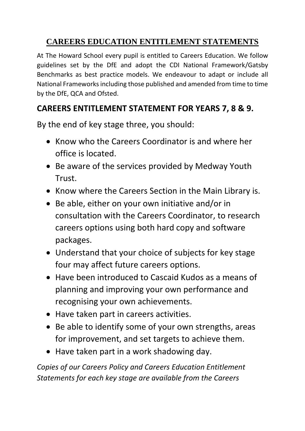# **CAREERS EDUCATION ENTITLEMENT STATEMENTS**

At The Howard School every pupil is entitled to Careers Education. We follow guidelines set by the DfE and adopt the CDI National Framework/Gatsby Benchmarks as best practice models. We endeavour to adapt or include all National Frameworks including those published and amended from time to time by the DfE, QCA and Ofsted.

# **CAREERS ENTITLEMENT STATEMENT FOR YEARS 7, 8 & 9.**

By the end of key stage three, you should:

- Know who the Careers Coordinator is and where her office is located.
- Be aware of the services provided by Medway Youth Trust.
- Know where the Careers Section in the Main Library is.
- Be able, either on your own initiative and/or in consultation with the Careers Coordinator, to research careers options using both hard copy and software packages.
- Understand that your choice of subjects for key stage four may affect future careers options.
- Have been introduced to Cascaid Kudos as a means of planning and improving your own performance and recognising your own achievements.
- Have taken part in careers activities.
- Be able to identify some of your own strengths, areas for improvement, and set targets to achieve them.
- Have taken part in a work shadowing day.

*Copies of our Careers Policy and Careers Education Entitlement Statements for each key stage are available from the Careers*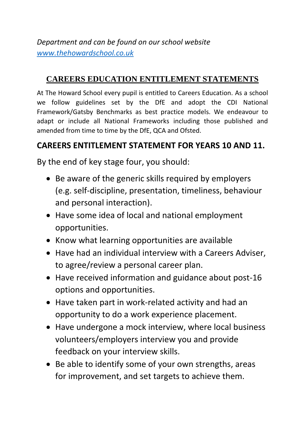*Department and can be found on our school website [www.thehowardschool.co.uk](http://www.thehowardschool.co.uk/)*

#### **CAREERS EDUCATION ENTITLEMENT STATEMENTS**

At The Howard School every pupil is entitled to Careers Education. As a school we follow guidelines set by the DfE and adopt the CDI National Framework/Gatsby Benchmarks as best practice models. We endeavour to adapt or include all National Frameworks including those published and amended from time to time by the DfE, QCA and Ofsted.

### **CAREERS ENTITLEMENT STATEMENT FOR YEARS 10 AND 11.**

By the end of key stage four, you should:

- Be aware of the generic skills required by employers (e.g. self-discipline, presentation, timeliness, behaviour and personal interaction).
- Have some idea of local and national employment opportunities.
- Know what learning opportunities are available
- Have had an individual interview with a Careers Adviser, to agree/review a personal career plan.
- Have received information and guidance about post-16 options and opportunities.
- Have taken part in work-related activity and had an opportunity to do a work experience placement.
- Have undergone a mock interview, where local business volunteers/employers interview you and provide feedback on your interview skills.
- Be able to identify some of your own strengths, areas for improvement, and set targets to achieve them.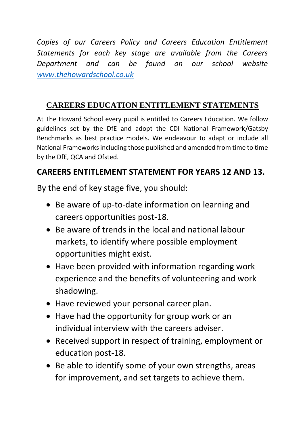*Copies of our Careers Policy and Careers Education Entitlement Statements for each key stage are available from the Careers Department and can be found on our school website [www.thehowardschool.co.uk](http://www.thehowardschool.co.uk/)*

### **CAREERS EDUCATION ENTITLEMENT STATEMENTS**

At The Howard School every pupil is entitled to Careers Education. We follow guidelines set by the DfE and adopt the CDI National Framework/Gatsby Benchmarks as best practice models. We endeavour to adapt or include all National Frameworks including those published and amended from time to time by the DfE, QCA and Ofsted.

## **CAREERS ENTITLEMENT STATEMENT FOR YEARS 12 AND 13.**

By the end of key stage five, you should:

- Be aware of up-to-date information on learning and careers opportunities post-18.
- Be aware of trends in the local and national labour markets, to identify where possible employment opportunities might exist.
- Have been provided with information regarding work experience and the benefits of volunteering and work shadowing.
- Have reviewed your personal career plan.
- Have had the opportunity for group work or an individual interview with the careers adviser.
- Received support in respect of training, employment or education post-18.
- Be able to identify some of your own strengths, areas for improvement, and set targets to achieve them.